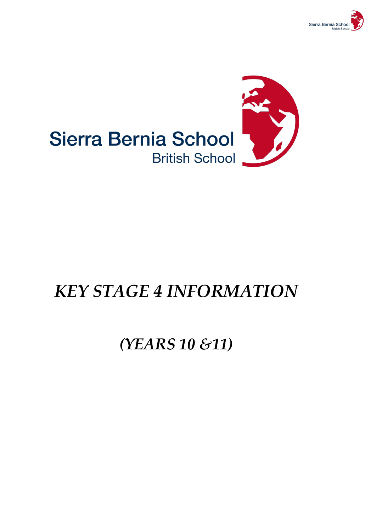



# *KEY STAGE 4 INFORMATION*

## *(YEARS 10 &11)*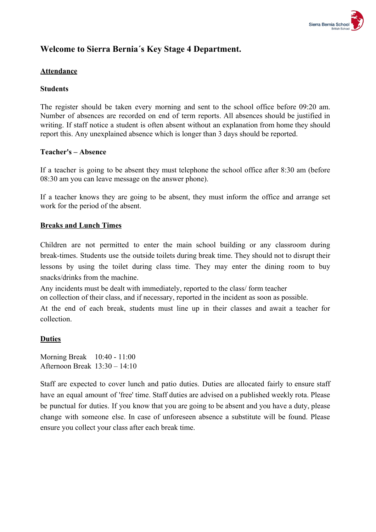

#### **Welcome to Sierra Bernia´s Key Stage 4 Department.**

#### **Attendance**

#### **Students**

The register should be taken every morning and sent to the school office before 09:20 am. Number of absences are recorded on end of term reports. All absences should be justified in writing. If staff notice a student is often absent without an explanation from home they should report this. Any unexplained absence which is longer than 3 days should be reported.

#### **Teacher's – Absence**

If a teacher is going to be absent they must telephone the school office after 8:30 am (before 08:30 am you can leave message on the answer phone).

If a teacher knows they are going to be absent, they must inform the office and arrange set work for the period of the absent.

#### **Breaks and Lunch Times**

Children are not permitted to enter the main school building or any classroom during break-times. Students use the outside toilets during break time. They should not to disrupt their lessons by using the toilet during class time. They may enter the dining room to buy snacks/drinks from the machine.

Any incidents must be dealt with immediately, reported to the class/ form teacher

on collection of their class, and if necessary, reported in the incident as soon as possible.

At the end of each break, students must line up in their classes and await a teacher for collection.

#### **Duties**

Morning Break 10:40 - 11:00 Afternoon Break 13:30 – 14:10

Staff are expected to cover lunch and patio duties. Duties are allocated fairly to ensure staff have an equal amount of 'free' time. Staff duties are advised on a published weekly rota. Please be punctual for duties. If you know that you are going to be absent and you have a duty, please change with someone else. In case of unforeseen absence a substitute will be found. Please ensure you collect your class after each break time.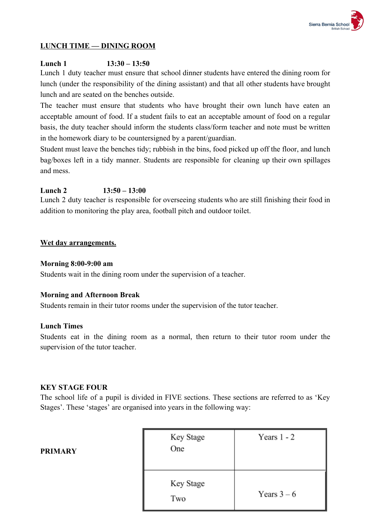

#### **LUNCH TIME — DINING ROOM**

#### **Lunch 1 13:30 – 13:50**

Lunch 1 duty teacher must ensure that school dinner students have entered the dining room for lunch (under the responsibility of the dining assistant) and that all other students have brought lunch and are seated on the benches outside.

The teacher must ensure that students who have brought their own lunch have eaten an acceptable amount of food. If a student fails to eat an acceptable amount of food on a regular basis, the duty teacher should inform the students class/form teacher and note must be written in the homework diary to be countersigned by a parent/guardian.

Student must leave the benches tidy; rubbish in the bins, food picked up off the floor, and lunch bag/boxes left in a tidy manner. Students are responsible for cleaning up their own spillages and mess.

#### **Lunch 2 13:50 – 13:00**

Lunch 2 duty teacher is responsible for overseeing students who are still finishing their food in addition to monitoring the play area, football pitch and outdoor toilet.

#### **Wet day arrangements.**

#### **Morning 8:00-9:00 am**

Students wait in the dining room under the supervision of a teacher.

#### **Morning and Afternoon Break**

Students remain in their tutor rooms under the supervision of the tutor teacher.

#### **Lunch Times**

Students eat in the dining room as a normal, then return to their tutor room under the supervision of the tutor teacher.

#### **KEY STAGE FOUR**

The school life of a pupil is divided in FIVE sections. These sections are referred to as 'Key Stages'. These 'stages' are organised into years in the following way:

| Key Stage<br>One | Years $1 - 2$ |
|------------------|---------------|
|                  |               |
| Key Stage        | Years $3-6$   |
| Two              |               |

#### **PRIMARY**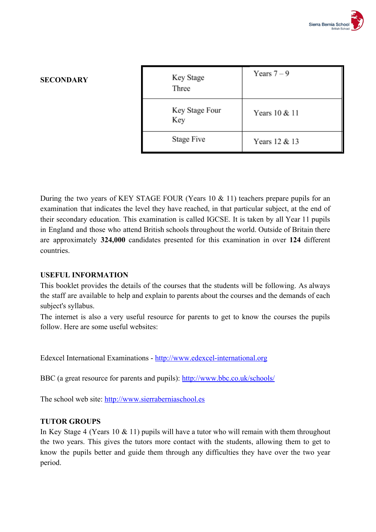

#### **SECONDARY**

| Key Stage<br>Three    | Years $7-9$   |
|-----------------------|---------------|
| Key Stage Four<br>Key | Years 10 & 11 |
| Stage Five            | Years 12 & 13 |

During the two years of KEY STAGE FOUR (Years  $10 \& 11$ ) teachers prepare pupils for an examination that indicates the level they have reached, in that particular subject, at the end of their secondary education. This examination is called IGCSE. It is taken by all Year 11 pupils in England and those who attend British schools throughout the world. Outside of Britain there are approximately **324,000** candidates presented for this examination in over **124** different countries.

#### **USEFUL INFORMATION**

This booklet provides the details of the courses that the students will be following. As always the staff are available to help and explain to parents about the courses and the demands of each subject's syllabus.

The internet is also a very useful resource for parents to get to know the courses the pupils follow. Here are some useful websites:

Edexcel International Examinations - [http://www.edexcel-international.org](http://www.edexcel-international.org/)

BBC (a great resource for parents and pupils): <http://www.bbc.co.uk/schools/>

The school web site: [http://www.sierraberniaschool.es](http://www.sierraberniaschool.es/)

#### **TUTOR GROUPS**

In Key Stage 4 (Years 10 & 11) pupils will have a tutor who will remain with them throughout the two years. This gives the tutors more contact with the students, allowing them to get to know the pupils better and guide them through any difficulties they have over the two year period.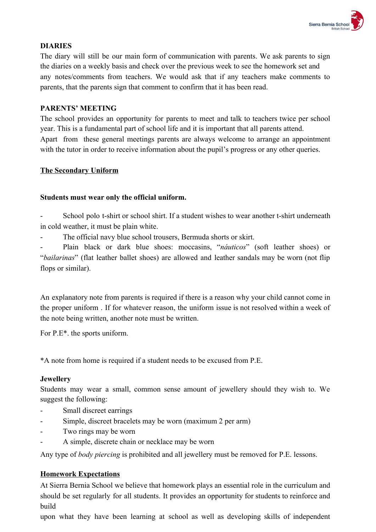

#### **DIARIES**

The diary will still be our main form of communication with parents. We ask parents to sign the diaries on a weekly basis and check over the previous week to see the homework set and any notes/comments from teachers. We would ask that if any teachers make comments to parents, that the parents sign that comment to confirm that it has been read.

#### **PARENTS' MEETING**

The school provides an opportunity for parents to meet and talk to teachers twice per school year. This is a fundamental part of school life and it is important that all parents attend. Apart from these general meetings parents are always welcome to arrange an appointment with the tutor in order to receive information about the pupil's progress or any other queries.

#### **The Secondary Uniform**

#### **Students must wear only the official uniform.**

School polo t-shirt or school shirt. If a student wishes to wear another t-shirt underneath in cold weather, it must be plain white.

The official navy blue school trousers, Bermuda shorts or skirt.

- Plain black or dark blue shoes: moccasins, "*náuticos*" (soft leather shoes) or "*bailarinas*" (flat leather ballet shoes) are allowed and leather sandals may be worn (not flip flops or similar).

An explanatory note from parents is required if there is a reason why your child cannot come in the proper uniform . If for whatever reason, the uniform issue is not resolved within a week of the note being written, another note must be written.

For P.E\*. the sports uniform.

\*A note from home is required if a student needs to be excused from P.E.

#### **Jewellery**

Students may wear a small, common sense amount of jewellery should they wish to. We suggest the following:

- Small discreet earrings
- Simple, discreet bracelets may be worn (maximum 2 per arm)
- Two rings may be worn
- A simple, discrete chain or necklace may be worn

Any type of *body piercing* is prohibited and all jewellery must be removed for P.E. lessons.

#### **Homework Expectations**

At Sierra Bernia School we believe that homework plays an essential role in the curriculum and should be set regularly for all students. It provides an opportunity for students to reinforce and build

upon what they have been learning at school as well as developing skills of independent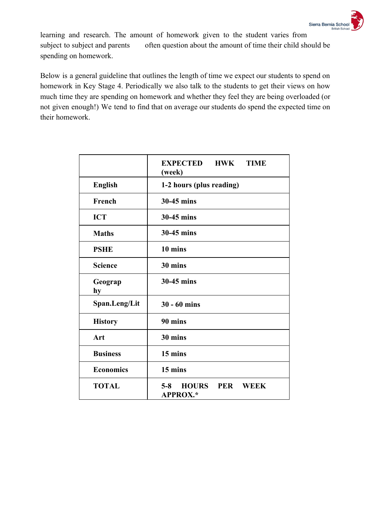

learning and research. The amount of homework given to the student varies from subject to subject and parents often question about the amount of time their child should be spending on homework.

Below is a general guideline that outlines the length of time we expect our students to spend on homework in Key Stage 4. Periodically we also talk to the students to get their views on how much time they are spending on homework and whether they feel they are being overloaded (or not given enough!) We tend to find that on average our students do spend the expected time on their homework.

|                  | <b>EXPECTED</b><br><b>HWK</b><br><b>TIME</b><br>(week)                  |
|------------------|-------------------------------------------------------------------------|
| <b>English</b>   | 1-2 hours (plus reading)                                                |
| French           | 30-45 mins                                                              |
| <b>ICT</b>       | 30-45 mins                                                              |
| <b>Maths</b>     | 30-45 mins                                                              |
| <b>PSHE</b>      | 10 mins                                                                 |
| <b>Science</b>   | 30 mins                                                                 |
| Geograp<br>hy    | 30-45 mins                                                              |
| Span.Leng/Lit    | $30 - 60$ mins                                                          |
| <b>History</b>   | 90 mins                                                                 |
| Art              | 30 mins                                                                 |
| <b>Business</b>  | 15 mins                                                                 |
| <b>Economics</b> | 15 mins                                                                 |
| <b>TOTAL</b>     | <b>HOURS</b><br><b>PER</b><br>$5 - 8$<br><b>WEEK</b><br><b>APPROX.*</b> |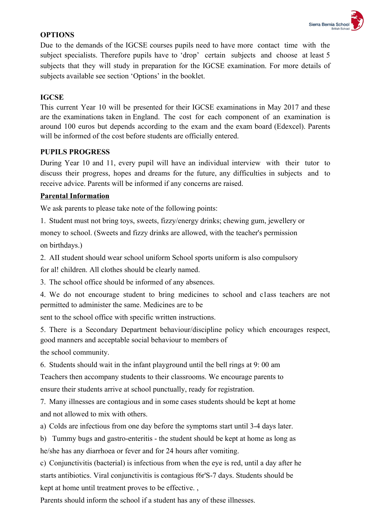

#### **OPTIONS**

Due to the demands of the IGCSE courses pupils need to have more contact time with the subject specialists. Therefore pupils have to 'drop' certain subjects and choose at least 5 subjects that they will study in preparation for the IGCSE examination. For more details of subjects available see section 'Options' in the booklet.

#### **IGCSE**

This current Year 10 will be presented for their IGCSE examinations in May 2017 and these are the examinations taken in England. The cost for each component of an examination is around 100 euros but depends according to the exam and the exam board (Edexcel). Parents will be informed of the cost before students are officially entered.

#### **PUPILS PROGRESS**

During Year 10 and 11, every pupil will have an individual interview with their tutor to discuss their progress, hopes and dreams for the future, any difficulties in subjects and to receive advice. Parents will be informed if any concerns are raised.

#### **Parental Information**

We ask parents to please take note of the following points:

1. Student must not bring toys, sweets, fizzy/energy drinks; chewing gum, jewellery or

money to school. (Sweets and fizzy drinks are allowed, with the teacher's permission on birthdays.)

2. AII student should wear school uniform School sports uniform is also compulsory

for al! children. All clothes should be clearly named.

3. The school office should be informed of any absences.

4. We do not encourage student to bring medicines to school and c1ass teachers are not permitted to administer the same. Medicines are to be

sent to the school office with specific written instructions.

5. There is a Secondary Department behaviour/discipline policy which encourages respect, good manners and acceptable social behaviour to members of

the school community.

6. Students should wait in the infant playground until the bell rings at 9: 00 am

Teachers then accompany students to their classrooms. We encourage parents to ensure their students arrive at school punctually, ready for registration.

7. Many illnesses are contagious and in some cases students should be kept at home and not allowed to mix with others.

a) Colds are infectious from one day before the symptoms start until 3-4 days later.

b) Tummy bugs and gastro-enteritis - the student should be kept at home as long as he/she has any diarrhoea or fever and for 24 hours after vomiting.

c) Conjunctivitis (bacterial) is infectious from when the eye is red, until a day after he starts antibiotics. Viral conjunctivitis is contagious f6r'S-7 days. Students should be kept at home until treatment proves to be effective. ,

Parents should inform the school if a student has any of these illnesses.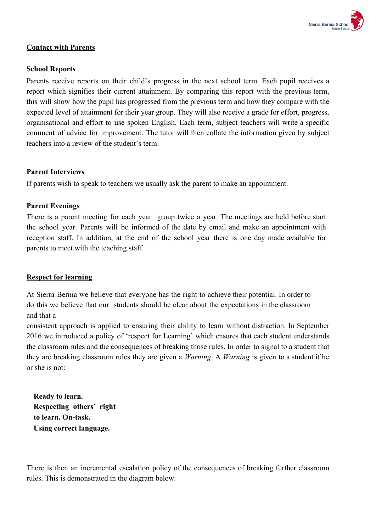

#### **Contact with Parents**

#### **School Reports**

Parents receive reports on their child's progress in the next school term. Each pupil receives a report which signifies their current attainment. By comparing this report with the previous term, this will show how the pupil has progressed from the previous term and how they compare with the expected level of attainment for their year group. They will also receive a grade for effort, progress, organisational and effort to use spoken English. Each term, subject teachers will write a specific comment of advice for improvement. The tutor will then collate the information given by subject teachers into a review of the student's term.

#### **Parent Interviews**

If parents wish to speak to teachers we usually ask the parent to make an appointment.

#### **Parent Evenings**

There is a parent meeting for each year group twice a year. The meetings are held before start the school year. Parents will be informed of the date by email and make an appointment with reception staff. In addition, at the end of the school year there is one day made available for parents to meet with the teaching staff.

#### **Respect for learning**

At Sierra Bernia we believe that everyone has the right to achieve their potential. In order to do this we believe that our students should be clear about the expectations in the classroom and that a

consistent approach is applied to ensuring their ability to learn without distraction. In September 2016 we introduced a policy of 'respect for Learning' which ensures that each student understands the classroom rules and the consequences of breaking those rules. In order to signal to a student that they are breaking classroom rules they are given a *Warning*. A *Warning* is given to a student if he or she is not:

**Ready to learn. Respecting others' right to learn. On-task. Using correct language.**

There is then an incremental escalation policy of the consequences of breaking further classroom rules. This is demonstrated in the diagram below.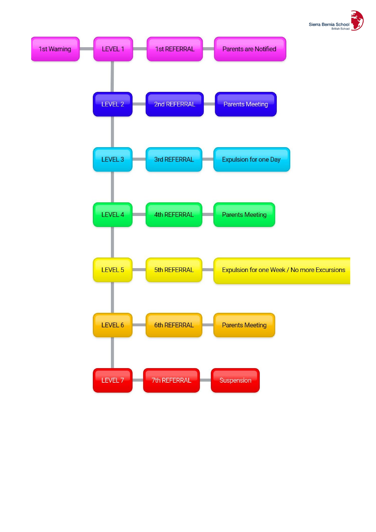

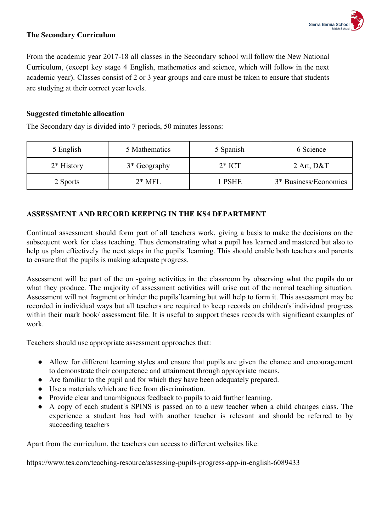

#### **The Secondary Curriculum**

From the academic year 2017-18 all classes in the Secondary school will follow the New National Curriculum, (except key stage 4 English, mathematics and science, which will follow in the next academic year). Classes consist of 2 or 3 year groups and care must be taken to ensure that students are studying at their correct year levels.

#### **Suggested timetable allocation**

The Secondary day is divided into 7 periods, 50 minutes lessons:

| 5 English    | 5 Mathematics | 5 Spanish | 6 Science             |
|--------------|---------------|-----------|-----------------------|
| $2*$ History | 3* Geography  | $2*$ ICT  | 2 Art, $D&T$          |
| 2 Sports     | $2*$ MFL      | l PSHE    | 3* Business/Economics |

#### **ASSESSMENT AND RECORD KEEPING IN THE KS4 DEPARTMENT**

Continual assessment should form part of all teachers work, giving a basis to make the decisions on the subsequent work for class teaching. Thus demonstrating what a pupil has learned and mastered but also to help us plan effectively the next steps in the pupils 'learning. This should enable both teachers and parents to ensure that the pupils is making adequate progress.

Assessment will be part of the on -going activities in the classroom by observing what the pupils do or what they produce. The majority of assessment activities will arise out of the normal teaching situation. Assessment will not fragment or hinder the pupils´learning but will help to form it. This assessment may be recorded in individual ways but all teachers are required to keep records on children's´individual progress within their mark book/ assessment file. It is useful to support theses records with significant examples of work.

Teachers should use appropriate assessment approaches that:

- Allow for different learning styles and ensure that pupils are given the chance and encouragement to demonstrate their competence and attainment through appropriate means.
- Are familiar to the pupil and for which they have been adequately prepared.
- Use a materials which are free from discrimination.
- Provide clear and unambiguous feedback to pupils to aid further learning.
- A copy of each student´s SPINS is passed on to a new teacher when a child changes class. The experience a student has had with another teacher is relevant and should be referred to by succeeding teachers

Apart from the curriculum, the teachers can access to different websites like:

https://www.tes.com/teaching-resource/assessing-pupils-progress-app-in-english-6089433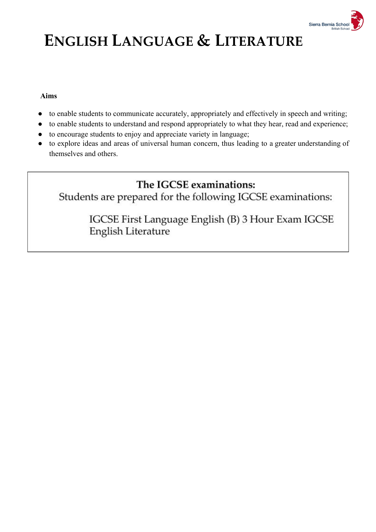

# **ENGLISH LANGUAGE & LITERATURE**

#### **Aims**

- to enable students to communicate accurately, appropriately and effectively in speech and writing;
- to enable students to understand and respond appropriately to what they hear, read and experience;
- to encourage students to enjoy and appreciate variety in language;
- to explore ideas and areas of universal human concern, thus leading to a greater understanding of themselves and others.

### The IGCSE examinations:

Students are prepared for the following IGCSE examinations:

IGCSE First Language English (B) 3 Hour Exam IGCSE English Literature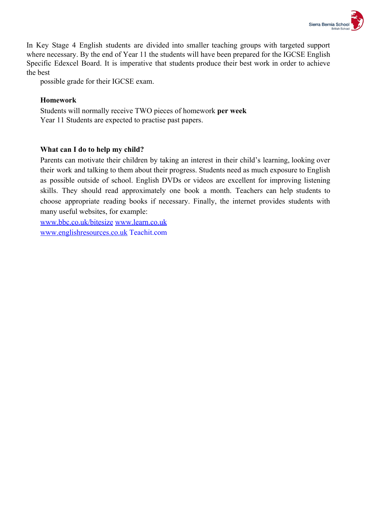

In Key Stage 4 English students are divided into smaller teaching groups with targeted support where necessary. By the end of Year 11 the students will have been prepared for the IGCSE English Specific Edexcel Board. It is imperative that students produce their best work in order to achieve the best

possible grade for their IGCSE exam.

#### **Homework**

Students will normally receive TWO pieces of homework **per week** Year 11 Students are expected to practise past papers.

#### **What can I do to help my child?**

Parents can motivate their children by taking an interest in their child's learning, looking over their work and talking to them about their progress. Students need as much exposure to English as possible outside of school. English DVDs or videos are excellent for improving listening skills. They should read approximately one book a month. Teachers can help students to choose appropriate reading books if necessary. Finally, the internet provides students with many useful websites, for example:

[www.bbc.co.uk/bitesize](http://www.bbc.co.uk/bitesize) [www.learn.co.uk](http://www.learn.co.uk/) [www.englishresources.co.uk](http://www.englishresources.co.uk/) Teachit.com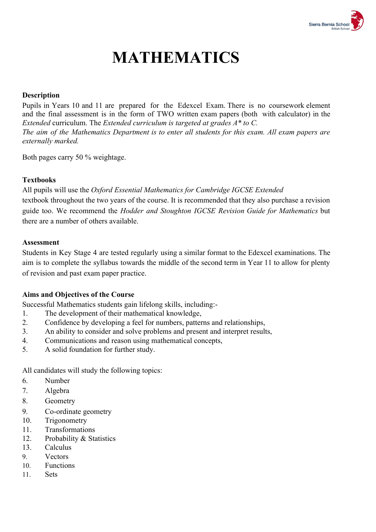

# **MATHEMATICS**

#### **Description**

Pupils in Years 10 and 11 are prepared for the Edexcel Exam. There is no coursework element and the final assessment is in the form of TWO written exam papers (both with calculator) in the *Extended* curriculum. The *Extended curriculum is targeted at grades A\* to C. The aim of the Mathematics Department is to enter all students for this exam. All exam papers are externally marked.*

Both pages carry 50 % weightage.

#### **Textbooks**

All pupils will use the *Oxford Essential Mathematics for Cambridge IGCSE Extended* textbook throughout the two years of the course. It is recommended that they also purchase a revision guide too. We recommend the *Hodder and Stoughton IGCSE Revision Guide for Mathematics* but there are a number of others available.

#### **Assessment**

Students in Key Stage 4 are tested regularly using a similar format to the Edexcel examinations. The aim is to complete the syllabus towards the middle of the second term in Year 11 to allow for plenty of revision and past exam paper practice.

#### **Aims and Objectives of the Course**

Successful Mathematics students gain lifelong skills, including:-

- 1. The development of their mathematical knowledge,
- 2. Confidence by developing a feel for numbers, patterns and relationships,
- 3. An ability to consider and solve problems and present and interpret results,
- 4. Communications and reason using mathematical concepts,
- 5. A solid foundation for further study.

All candidates will study the following topics:

- 6. Number
- 7. Algebra
- 8. Geometry
- 9. Co-ordinate geometry
- 10. Trigonometry
- 11. Transformations
- 12. Probability & Statistics
- 13. Calculus
- 9. Vectors
- 10. Functions
- 11. Sets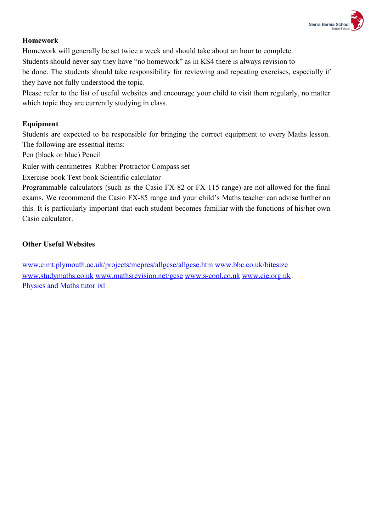

#### **Homework**

Homework will generally be set twice a week and should take about an hour to complete. Students should never say they have "no homework" as in KS4 there is always revision to be done. The students should take responsibility for reviewing and repeating exercises, especially if they have not fully understood the topic.

Please refer to the list of useful websites and encourage your child to visit them regularly, no matter which topic they are currently studying in class.

#### **Equipment**

Students are expected to be responsible for bringing the correct equipment to every Maths lesson. The following are essential items:

Pen (black or blue) Pencil

Ruler with centimetres Rubber Protractor Compass set

Exercise book Text book Scientific calculator

Programmable calculators (such as the Casio FX-82 or FX-115 range) are not allowed for the final exams. We recommend the Casio FX-85 range and your child's Maths teacher can advise further on this. It is particularly important that each student becomes familiar with the functions of his/her own Casio calculator.

#### **Other Useful Websites**

[www.cimt.plymouth.ac.uk/projects/mepres/allgcse/allgcse.htm](http://www.cimt.plymouth.ac.uk/projects/mepres/allgcse/allgcse.htm) [www.bbc.co.uk/bitesize](http://www.bbc.co.uk/bitesize) [www.studymaths.co.uk](http://www.studymaths.co.uk/) [www.mathsrevision.net/gcse](http://www.mathsrevision.net/gcse) [www.s-cool.co.uk](http://www.s-cool.co.uk/) [www.cie.org.uk](http://www.cie.org.uk/) Physics and Maths tutor ixl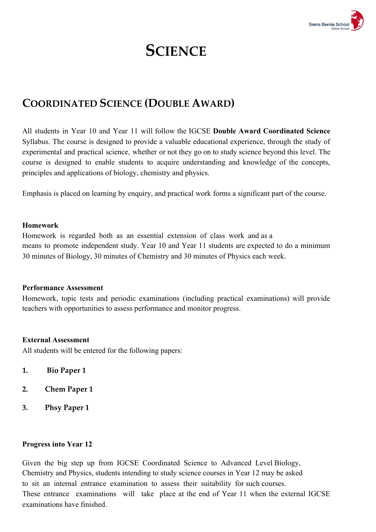

### **SCIENCE**

### **COORDINATED SCIENCE (DOUBLE AWARD)**

All students in Year 10 and Year 11 will follow the IGCSE **Double Award Coordinated Science** Syllabus. The course is designed to provide a valuable educational experience, through the study of experimental and practical science, whether or not they go on to study science beyond this level. The course is designed to enable students to acquire understanding and knowledge of the concepts, principles and applications of biology, chemistry and physics.

Emphasis is placed on learning by enquiry, and practical work forms a significant part of the course.

#### **Homework**

Homework is regarded both as an essential extension of class work and as a means to promote independent study. Year 10 and Year 11 students are expected to do a minimum 30 minutes of Biology, 30 minutes of Chemistry and 30 minutes of Physics each week.

#### **Performance Assessment**

Homework, topic tests and periodic examinations (including practical examinations) will provide teachers with opportunities to assess performance and monitor progress.

#### **External Assessment**

All students will be entered for the following papers:

- **1. Bio Paper 1**
- **2. Chem Paper 1**
- **3. Phsy Paper 1**

#### **Progress into Year 12**

Given the big step up from IGCSE Coordinated Science to Advanced Level Biology, Chemistry and Physics, students intending to study science courses in Year 12 may be asked to sit an internal entrance examination to assess their suitability for such courses. These entrance examinations will take place at the end of Year 11 when the external IGCSE examinations have finished.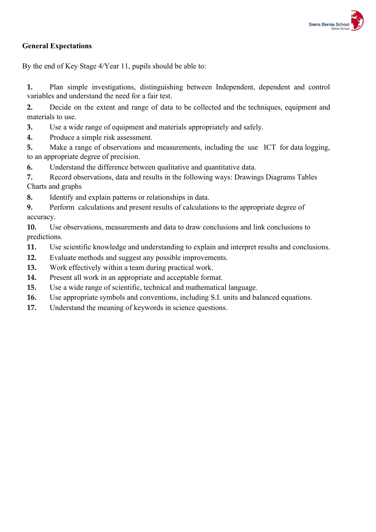

#### **General Expectations**

By the end of Key Stage 4/Year 11, pupils should be able to:

**1.** Plan simple investigations, distinguishing between Independent, dependent and control variables and understand the need for a fair test.

**2.** Decide on the extent and range of data to be collected and the techniques, equipment and materials to use.

**3.** Use a wide range of equipment and materials appropriately and safely.

**4.** Produce a simple risk assessment.

**5.** Make a range of observations and measurements, including the use ICT for data logging, to an appropriate degree of precision.

**6.** Understand the difference between qualitative and quantitative data.

**7.** Record observations, data and results in the following ways: Drawings Diagrams Tables Charts and graphs

**8.** Identify and explain patterns or relationships in data.

**9.** Perform calculations and present results of calculations to the appropriate degree of accuracy.

**10.** Use observations, measurements and data to draw conclusions and link conclusions to predictions.

**11.** Use scientific knowledge and understanding to explain and interpret results and conclusions.

- **12.** Evaluate methods and suggest any possible improvements.
- **13.** Work effectively within a team during practical work.
- **14.** Present all work in an appropriate and acceptable format.
- **15.** Use a wide range of scientific, technical and mathematical language.
- **16.** Use appropriate symbols and conventions, including S.I. units and balanced equations.
- **17.** Understand the meaning of keywords in science questions.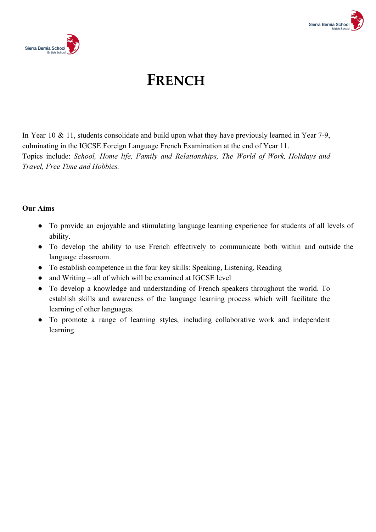



## **FRENCH**

In Year 10 & 11, students consolidate and build upon what they have previously learned in Year 7-9, culminating in the IGCSE Foreign Language French Examination at the end of Year 11. Topics include: *School, Home life, Family and Relationships, The World of Work, Holidays and Travel, Free Time and Hobbies.*

#### **Our Aims**

- To provide an enjoyable and stimulating language learning experience for students of all levels of ability.
- To develop the ability to use French effectively to communicate both within and outside the language classroom.
- To establish competence in the four key skills: Speaking, Listening, Reading
- $\bullet$  and Writing all of which will be examined at IGCSE level
- To develop a knowledge and understanding of French speakers throughout the world. To establish skills and awareness of the language learning process which will facilitate the learning of other languages.
- To promote a range of learning styles, including collaborative work and independent learning.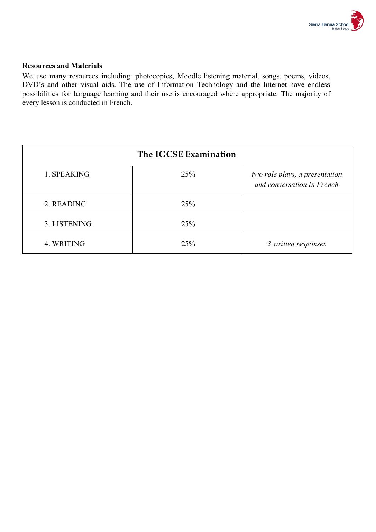

#### **Resources and Materials**

We use many resources including: photocopies, Moodle listening material, songs, poems, videos, DVD's and other visual aids. The use of Information Technology and the Internet have endless possibilities for language learning and their use is encouraged where appropriate. The majority of every lesson is conducted in French.

|              | The IGCSE Examination |                                                              |
|--------------|-----------------------|--------------------------------------------------------------|
| 1. SPEAKING  | 25%                   | two role plays, a presentation<br>and conversation in French |
| 2. READING   | 25%                   |                                                              |
| 3. LISTENING | 25%                   |                                                              |
| 4. WRITING   | 25%                   | 3 written responses                                          |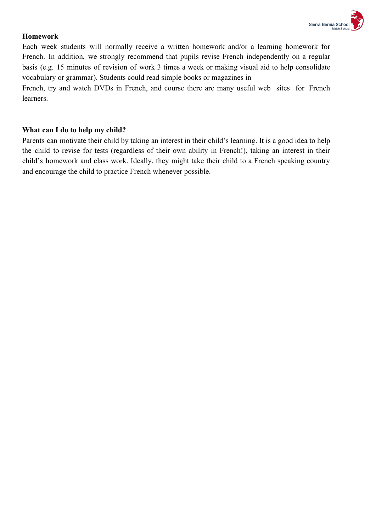

#### **Homework**

Each week students will normally receive a written homework and/or a learning homework for French. In addition, we strongly recommend that pupils revise French independently on a regular basis (e.g. 15 minutes of revision of work 3 times a week or making visual aid to help consolidate vocabulary or grammar). Students could read simple books or magazines in

French, try and watch DVDs in French, and course there are many useful web sites for French learners.

#### **What can I do to help my child?**

Parents can motivate their child by taking an interest in their child's learning. It is a good idea to help the child to revise for tests (regardless of their own ability in French!), taking an interest in their child's homework and class work. Ideally, they might take their child to a French speaking country and encourage the child to practice French whenever possible.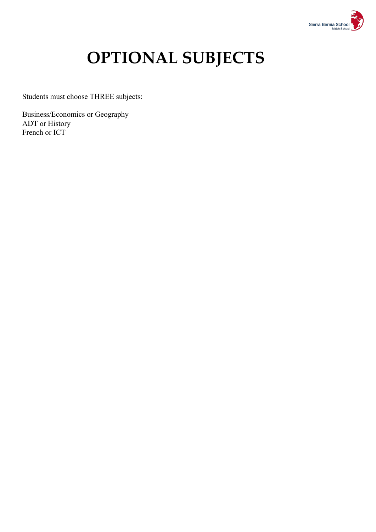

# **OPTIONAL SUBJECTS**

Students must choose THREE subjects:

Business/Economics or Geography ADT or History French or ICT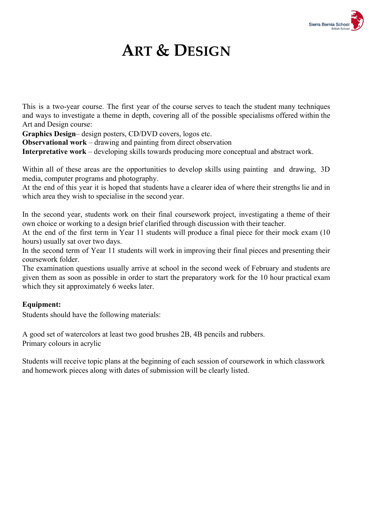

## **ART & DESIGN**

This is a two-year course. The first year of the course serves to teach the student many techniques and ways to investigate a theme in depth, covering all of the possible specialisms offered within the Art and Design course:

**Graphics Design**– design posters, CD/DVD covers, logos etc.

**Observational work** – drawing and painting from direct observation

**Interpretative work** – developing skills towards producing more conceptual and abstract work.

Within all of these areas are the opportunities to develop skills using painting and drawing, 3D media, computer programs and photography.

At the end of this year it is hoped that students have a clearer idea of where their strengths lie and in which area they wish to specialise in the second year.

In the second year, students work on their final coursework project, investigating a theme of their own choice or working to a design brief clarified through discussion with their teacher.

At the end of the first term in Year 11 students will produce a final piece for their mock exam (10 hours) usually sat over two days.

In the second term of Year 11 students will work in improving their final pieces and presenting their coursework folder.

The examination questions usually arrive at school in the second week of February and students are given them as soon as possible in order to start the preparatory work for the 10 hour practical exam which they sit approximately 6 weeks later.

#### **Equipment:**

Students should have the following materials:

A good set of watercolors at least two good brushes 2B, 4B pencils and rubbers. Primary colours in acrylic

Students will receive topic plans at the beginning of each session of coursework in which classwork and homework pieces along with dates of submission will be clearly listed.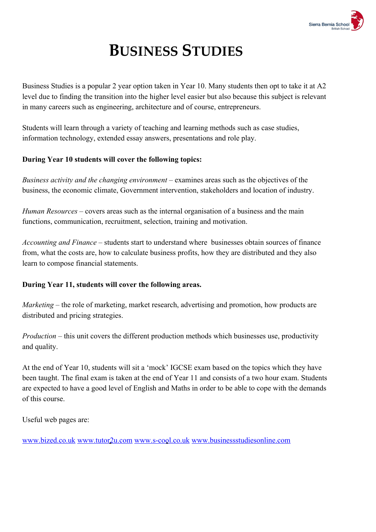

# **BUSINESS STUDIES**

Business Studies is a popular 2 year option taken in Year 10. Many students then opt to take it at A2 level due to finding the transition into the higher level easier but also because this subject is relevant in many careers such as engineering, architecture and of course, entrepreneurs.

Students will learn through a variety of teaching and learning methods such as case studies, information technology, extended essay answers, presentations and role play.

#### **During Year 10 students will cover the following topics:**

*Business activity and the changing environment –* examines areas such as the objectives of the business, the economic climate, Government intervention, stakeholders and location of industry.

*Human Resources* – covers areas such as the internal organisation of a business and the main functions, communication, recruitment, selection, training and motivation.

*Accounting and Finance* – students start to understand where businesses obtain sources of finance from, what the costs are, how to calculate business profits, how they are distributed and they also learn to compose financial statements.

#### **During Year 11, students will cover the following areas.**

*Marketing* – the role of marketing, market research, advertising and promotion, how products are distributed and pricing strategies.

*Production* – this unit covers the different production methods which businesses use, productivity and quality.

At the end of Year 10, students will sit a 'mock' IGCSE exam based on the topics which they have been taught. The final exam is taken at the end of Year 11 and consists of a two hour exam. Students are expected to have a good level of English and Maths in order to be able to cope with the demands of this course.

Useful web pages are:

[www.bized.co.uk](http://www.bized.co.uk/) [www.tutor2u.com](http://www.tutor2u.com/) [www.s-cool.co.uk](http://www.s-cool.co.uk/) [www.businessstudiesonline.com](http://www.businessstudiesonline.com/)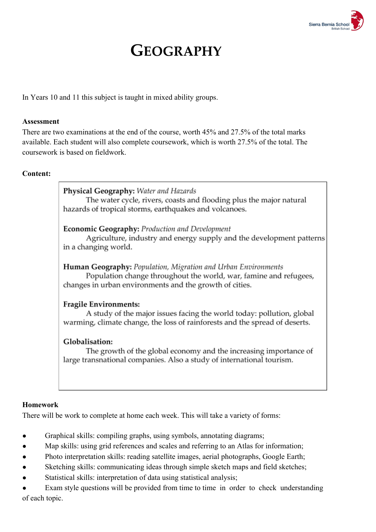

### **GEOGRAPHY**

In Years 10 and 11 this subject is taught in mixed ability groups.

#### **Assessment**

There are two examinations at the end of the course, worth 45% and 27.5% of the total marks available. Each student will also complete coursework, which is worth 27.5% of the total. The coursework is based on fieldwork.

#### **Content:**

#### Physical Geography: Water and Hazards

The water cycle, rivers, coasts and flooding plus the major natural hazards of tropical storms, earthquakes and volcanoes.

#### Economic Geography: Production and Development

Agriculture, industry and energy supply and the development patterns in a changing world.

Human Geography: Population, Migration and Urban Environments Population change throughout the world, war, famine and refugees, changes in urban environments and the growth of cities.

#### **Fragile Environments:**

A study of the major issues facing the world today: pollution, global warming, climate change, the loss of rainforests and the spread of deserts.

#### Globalisation:

The growth of the global economy and the increasing importance of large transnational companies. Also a study of international tourism.

#### **Homework**

There will be work to complete at home each week. This will take a variety of forms:

- Graphical skills: compiling graphs, using symbols, annotating diagrams;
- Map skills: using grid references and scales and referring to an Atlas for information;
- Photo interpretation skills: reading satellite images, aerial photographs, Google Earth;
- Sketching skills: communicating ideas through simple sketch maps and field sketches;
- Statistical skills: interpretation of data using statistical analysis;

Exam style questions will be provided from time to time in order to check understanding of each topic.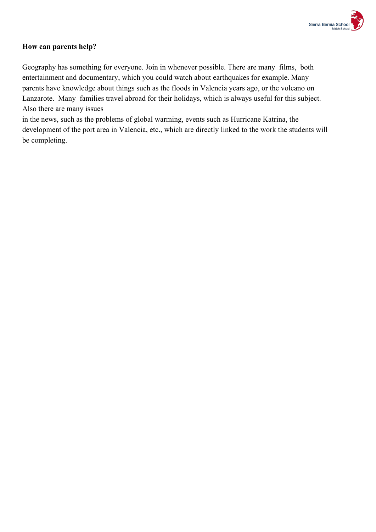

#### **How can parents help?**

Geography has something for everyone. Join in whenever possible. There are many films, both entertainment and documentary, which you could watch about earthquakes for example. Many parents have knowledge about things such as the floods in Valencia years ago, or the volcano on Lanzarote. Many families travel abroad for their holidays, which is always useful for this subject. Also there are many issues

in the news, such as the problems of global warming, events such as Hurricane Katrina, the development of the port area in Valencia, etc., which are directly linked to the work the students will be completing.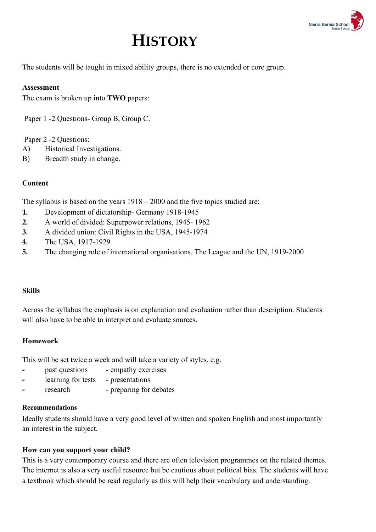

## **HISTORY**

The students will be taught in mixed ability groups, there is no extended or core group.

#### **Assessment**

The exam is broken up into **TWO** papers:

Paper 1 -2 Questions- Group B, Group C.

#### Paper 2 -2 Questions:

- A) Historical Investigations.
- B) Breadth study in change.

#### **Content**

The syllabus is based on the years 1918 – 2000 and the five topics studied are:

- **1.** Development of dictatorship- Germany 1918-1945
- **2.** A world of divided: Superpower relations, 1945- 1962
- **3.** A divided union: Civil Rights in the USA, 1945-1974
- **4.** The USA, 1917-1929
- **5.** The changing role of international organisations, The League and the UN, 1919-2000

#### **Skills**

Across the syllabus the emphasis is on explanation and evaluation rather than description. Students will also have to be able to interpret and evaluate sources.

#### **Homework**

This will be set twice a week and will take a variety of styles, e.g.

- **-** past questions empathy exercises
- **-** learning for tests presentations
- **-** research preparing for debates

#### **Recommendations**

Ideally students should have a very good level of written and spoken English and most importantly an interest in the subject.

#### **How can you support your child?**

This is a very contemporary course and there are often television programmes on the related themes. The internet is also a very useful resource but be cautious about political bias. The students will have a textbook which should be read regularly as this will help their vocabulary and understanding.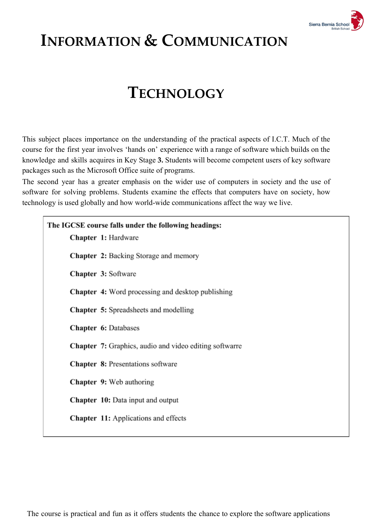

## **INFORMATION & COMMUNICATION**

### **TECHNOLOGY**

This subject places importance on the understanding of the practical aspects of I.C.T. Much of the course for the first year involves 'hands on' experience with a range of software which builds on the knowledge and skills acquires in Key Stage **3.** Students will become competent users of key software packages such as the Microsoft Office suite of programs.

The second year has a greater emphasis on the wider use of computers in society and the use of software for solving problems. Students examine the effects that computers have on society, how technology is used globally and how world-wide communications affect the way we live.

| The IGCSE course falls under the following headings:<br>Chapter 1: Hardware |
|-----------------------------------------------------------------------------|
| Chapter 2: Backing Storage and memory                                       |
| Chapter 3: Software                                                         |
| <b>Chapter 4:</b> Word processing and desktop publishing                    |
| <b>Chapter 5:</b> Spreadsheets and modelling                                |
| <b>Chapter 6: Databases</b>                                                 |
| <b>Chapter 7:</b> Graphics, audio and video editing softwarre               |
| <b>Chapter 8: Presentations software</b>                                    |
| <b>Chapter 9:</b> Web authoring                                             |
| <b>Chapter 10:</b> Data input and output                                    |
| <b>Chapter 11:</b> Applications and effects                                 |
|                                                                             |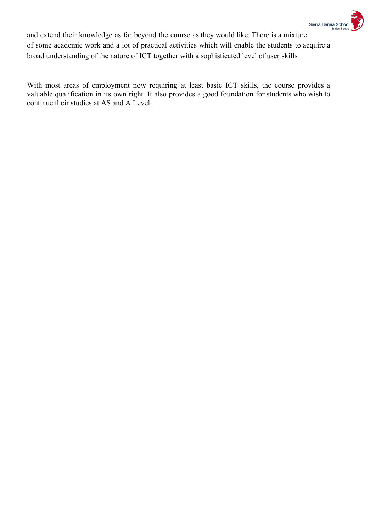

and extend their knowledge as far beyond the course as they would like. There is a mixture of some academic work and a lot of practical activities which will enable the students to acquire a broad understanding of the nature of ICT together with a sophisticated level of user skills

With most areas of employment now requiring at least basic ICT skills, the course provides a valuable qualification in its own right. It also provides a good foundation for students who wish to continue their studies at AS and A Level.